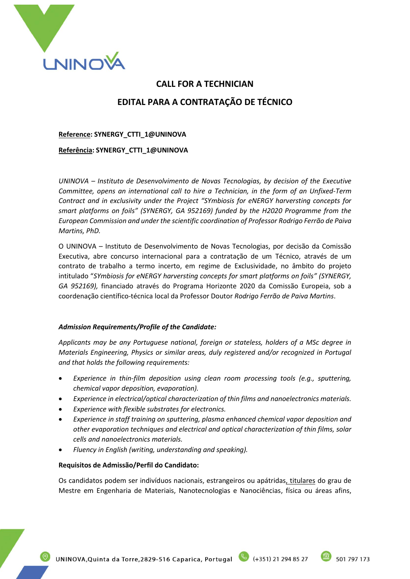

# **CALL FOR A TECHNICIAN EDITAL PARA A CONTRATAÇÃO DE TÉCNICO**

**Reference: SYNERGY\_CTTI\_1@UNINOVA**

**Referência: SYNERGY\_CTTI\_1@UNINOVA**

*UNINOVA – Instituto de Desenvolvimento de Novas Tecnologias, by decision of the Executive Committee, opens an international call to hire a Technician, in the form of an Unfixed-Term Contract and in exclusivity under the Project "SYmbiosis for eNERGY harversting concepts for smart platforms on foils" (SYNERGY, GA 952169) funded by the H2020 Programme from the European Commission and under the scientific coordination of Professor Rodrigo Ferrão de Paiva Martins, PhD.*

O UNINOVA – Instituto de Desenvolvimento de Novas Tecnologias, por decisão da Comissão Executiva, abre concurso internacional para a contratação de um Técnico, através de um contrato de trabalho a termo incerto, em regime de Exclusividade, no âmbito do projeto intitulado "*SYmbiosis for eNERGY harversting concepts for smart platforms on foils" (SYNERGY, GA 952169),* financiado através do Programa Horizonte 2020 da Comissão Europeia, sob a coordenação científico-técnica local da Professor Doutor *Rodrigo Ferrão de Paiva Martins*.

## *Admission Requirements/Profile of the Candidate:*

*Applicants may be any Portuguese national, foreign or stateless, holders of a MSc degree in Materials Engineering, Physics or similar areas, duly registered and/or recognized in Portugal and that holds the following requirements:*

- *Experience in thin-film deposition using clean room processing tools (e.g., sputtering, chemical vapor deposition, evaporation).*
- *Experience in electrical/optical characterization of thin films and nanoelectronics materials.*
- *Experience with flexible substrates for electronics.*
- *Experience in staff training on sputtering, plasma enhanced chemical vapor deposition and other evaporation techniques and electrical and optical characterization of thin films, solar cells and nanoelectronics materials.*
- *Fluency in English (writing, understanding and speaking).*

## **Requisitos de Admissão/Perfil do Candidato:**

Os candidatos podem ser indivíduos nacionais, estrangeiros ou apátridas, titulares do grau de Mestre em Engenharia de Materiais, Nanotecnologias e Nanociências, física ou áreas afins,

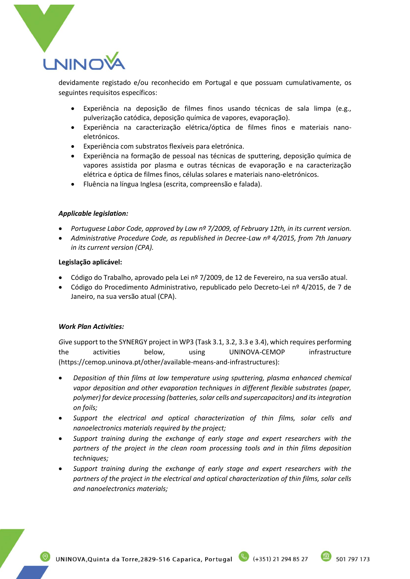

devidamente registado e/ou reconhecido em Portugal e que possuam cumulativamente, os seguintes requisitos específicos:

- Experiência na deposição de filmes finos usando técnicas de sala limpa (e.g., pulverização catódica, deposição química de vapores, evaporação).
- Experiência na caracterização elétrica/óptica de filmes finos e materiais nanoeletrónicos.
- Experiência com substratos flexíveis para eletrónica.
- Experiência na formação de pessoal nas técnicas de sputtering, deposição química de vapores assistida por plasma e outras técnicas de evaporação e na caracterização elétrica e óptica de filmes finos, células solares e materiais nano-eletrónicos.
- Fluência na língua Inglesa (escrita, compreensão e falada).

## *Applicable legislation:*

- *Portuguese Labor Code, approved by Law nº 7/2009, of February 12th, in its current version.*
- *Administrative Procedure Code, as republished in Decree-Law nº 4/2015, from 7th January in its current version (CPA).*

#### **Legislação aplicável:**

- Código do Trabalho, aprovado pela Lei nº 7/2009, de 12 de Fevereiro, na sua versão atual.
- Código do Procedimento Administrativo, republicado pelo Decreto-Lei nº 4/2015, de 7 de Janeiro, na sua versão atual (CPA).

## *Work Plan Activities:*

*G*ive support to the SYNERGY project in WP3 (Task 3.1, 3.2, 3.3 e 3.4), which requires performing the activities below, using UNINOVA-CEMOP infrastructure (https://cemop.uninova.pt/other/available-means-and-infrastructures):

- *Deposition of thin films at low temperature using sputtering, plasma enhanced chemical vapor deposition and other evaporation techniques in different flexible substrates (paper, polymer) for device processing (batteries, solar cells and supercapacitors) and its integration on foils;*
- *Support the electrical and optical characterization of thin films, solar cells and nanoelectronics materials required by the project;*
- *Support training during the exchange of early stage and expert researchers with the partners of the project in the clean room processing tools and in thin films deposition techniques;*
- *Support training during the exchange of early stage and expert researchers with the partners of the project in the electrical and optical characterization of thin films, solar cells and nanoelectronics materials;*

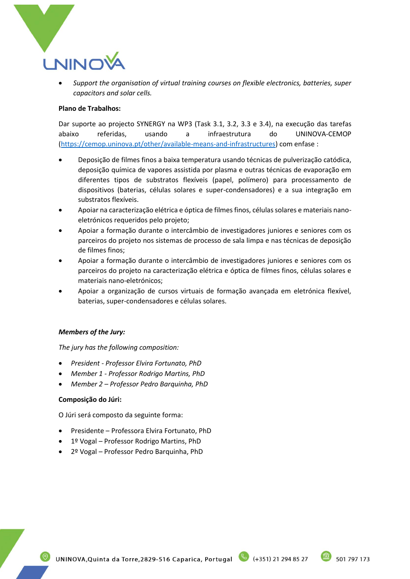

• *Support the organisation of virtual training courses on flexible electronics, batteries, super capacitors and solar cells.*

## **Plano de Trabalhos:**

Dar suporte ao projecto SYNERGY na WP3 (Task 3.1, 3.2, 3.3 e 3.4), na execução das tarefas abaixo referidas, usando a infraestrutura do UNINOVA-CEMOP [\(https://cemop.uninova.pt/other/available-means-and-infrastructures\)](https://cemop.uninova.pt/other/available-means-and-infrastructures) com enfase :

- Deposição de filmes finos a baixa temperatura usando técnicas de pulverização catódica, deposição química de vapores assistida por plasma e outras técnicas de evaporação em diferentes tipos de substratos flexíveis (papel, polímero) para processamento de dispositivos (baterias, células solares e super-condensadores) e a sua integração em substratos flexíveis.
- Apoiar na caracterização elétrica e óptica de filmes finos, células solares e materiais nanoeletrónicos requeridos pelo projeto;
- Apoiar a formação durante o intercâmbio de investigadores juniores e seniores com os parceiros do projeto nos sistemas de processo de sala limpa e nas técnicas de deposição de filmes finos;
- Apoiar a formação durante o intercâmbio de investigadores juniores e seniores com os parceiros do projeto na caracterização elétrica e óptica de filmes finos, células solares e materiais nano-eletrónicos;
- Apoiar a organização de cursos virtuais de formação avançada em eletrónica flexível, baterias, super-condensadores e células solares.

#### *Members of the Jury:*

*The jury has the following composition:*

- *President - Professor Elvira Fortunato, PhD*
- *Member 1 - Professor Rodrigo Martins, PhD*
- *Member 2 – Professor Pedro Barquinha, PhD*

## **Composição do Júri:**

O Júri será composto da seguinte forma:

- Presidente Professora Elvira Fortunato, PhD
- 1º Vogal Professor Rodrigo Martins, PhD
- 2º Vogal Professor Pedro Barquinha, PhD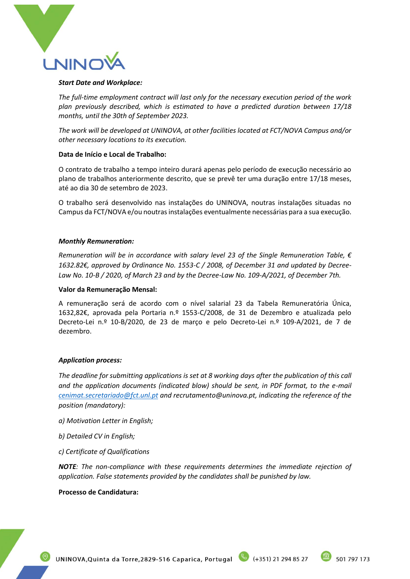

#### *Start Date and Workplace:*

*The full-time employment contract will last only for the necessary execution period of the work plan previously described, which is estimated to have a predicted duration between 17/18 months, until the 30th of September 2023.*

*The work will be developed at UNINOVA, at other facilities located at FCT/NOVA Campus and/or other necessary locations to its execution.*

## **Data de Início e Local de Trabalho:**

O contrato de trabalho a tempo inteiro durará apenas pelo período de execução necessário ao plano de trabalhos anteriormente descrito, que se prevê ter uma duração entre 17/18 meses, até ao dia 30 de setembro de 2023.

O trabalho será desenvolvido nas instalações do UNINOVA, noutras instalações situadas no Campus da FCT/NOVA e/ou noutras instalações eventualmente necessárias para a sua execução.

#### *Monthly Remuneration:*

*Remuneration will be in accordance with salary level 23 of the Single Remuneration Table, € 1632.82€, approved by Ordinance No. 1553-C / 2008, of December 31 and updated by Decree-Law No. 10-B / 2020, of March 23 and by the Decree-Law No. 109-A/2021, of December 7th.*

#### **Valor da Remuneração Mensal:**

A remuneração será de acordo com o nível salarial 23 da Tabela Remuneratória Única, 1632,82€, aprovada pela Portaria n.º 1553-C/2008, de 31 de Dezembro e atualizada pelo Decreto-Lei n.º 10-B/2020, de 23 de março e pelo Decreto-Lei n.º 109-A/2021, de 7 de dezembro.

#### *Application process:*

*The deadline for submitting applications is set at 8 working days after the publication of this call*  and the application documents (indicated blow) should be sent, in PDF format, to the e-mail *[cenimat.secretariado@fct.unl.pt](mailto:cenimat.secretariado@fct.unl.pt) an[d recrutamento@uninova.pt,](mailto:recrutamento@uninova.pt) indicating the reference of the position (mandatory):*

- *a) Motivation Letter in English;*
- *b) Detailed CV in English;*
- *c) Certificate of Qualifications*

*NOTE: The non-compliance with these requirements determines the immediate rejection of application. False statements provided by the candidates shall be punished by law.*

#### **Processo de Candidatura:**



501 797 173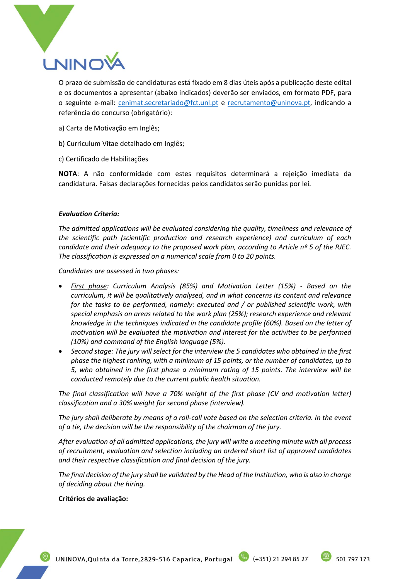

O prazo de submissão de candidaturas está fixado em 8 dias úteis após a publicação deste edital e os documentos a apresentar (abaixo indicados) deverão ser enviados, em formato PDF, para o seguinte e-mail: [cenimat.secretariado@fct.unl.pt](mailto:cenimat.secretariado@fct.unl.pt) e recrutamento@uninova.pt, indicando a referência do concurso (obrigatório):

- a) Carta de Motivação em Inglês;
- b) Curriculum Vitae detalhado em Inglês;
- c) Certificado de Habilitações

**NOTA**: A não conformidade com estes requisitos determinará a rejeição imediata da candidatura. Falsas declarações fornecidas pelos candidatos serão punidas por lei.

#### *Evaluation Criteria:*

*The admitted applications will be evaluated considering the quality, timeliness and relevance of the scientific path (scientific production and research experience) and curriculum of each candidate and their adequacy to the proposed work plan, according to Article nº 5 of the RJEC. The classification is expressed on a numerical scale from 0 to 20 points.*

*Candidates are assessed in two phases:*

- *First phase: Curriculum Analysis (85%) and Motivation Letter (15%) - Based on the curriculum, it will be qualitatively analysed, and in what concerns its content and relevance for the tasks to be performed, namely: executed and / or published scientific work, with special emphasis on areas related to the work plan (25%); research experience and relevant knowledge in the techniques indicated in the candidate profile (60%). Based on the letter of motivation will be evaluated the motivation and interest for the activities to be performed (10%) and command of the English language (5%).*
- *Second stage: The jury will select for the interview the 5 candidates who obtained in the first phase the highest ranking, with a minimum of 15 points, or the number of candidates, up to 5, who obtained in the first phase a minimum rating of 15 points. The interview will be conducted remotely due to the current public health situation.*

*The final classification will have a 70% weight of the first phase (CV and motivation letter) classification and a 30% weight for second phase (interview).*

*The jury shall deliberate by means of a roll-call vote based on the selection criteria. In the event of a tie, the decision will be the responsibility of the chairman of the jury.*

*After evaluation of all admitted applications, the jury will write a meeting minute with all process of recruitment, evaluation and selection including an ordered short list of approved candidates and their respective classification and final decision of the jury.*

*The final decision of the jury shall be validated by the Head of the Institution, who is also in charge of deciding about the hiring.*

#### **Critérios de avaliação:**

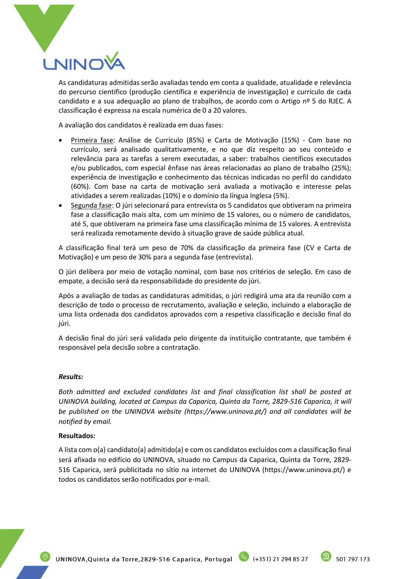

As candidaturas admitidas serão avaliadas tendo em conta a qualidade, atualidade e relevância do percurso científico (produção científica e experiência de investigação) e currículo de cada candidato e a sua adequação ao plano de trabalhos, de acordo com o Artigo nº 5 do RJEC. A classificação é expressa na escala numérica de 0 a 20 valores.

A avaliação dos candidatos é realizada em duas fases:

- Primeira fase: Análise de Currículo (85%) e Carta de Motivação (15%) Com base no currículo, será analisado qualitativamente, e no que diz respeito ao seu conteúdo e relevância para as tarefas a serem executadas, a saber: trabalhos científicos executados e/ou publicados, com especial ênfase nas áreas relacionadas ao plano de trabalho (25%); experiência de investigação e conhecimento das técnicas indicadas no perfil do candidato (60%). Com base na carta de motivação será avaliada a motivação e interesse pelas atividades a serem realizadas (10%) e o domínio da língua Inglesa (5%).
- Segunda fase: O júri selecionará para entrevista os 5 candidatos que obtiveram na primeira fase a classificação mais alta, com um mínimo de 15 valores, ou o número de candidatos, até 5, que obtiveram na primeira fase uma classificação mínima de 15 valores. A entrevista será realizada remotamente devido à situação grave de saúde pública atual.

A classificação final terá um peso de 70% da classificação da primeira fase (CV e Carta de Motivação) e um peso de 30% para a segunda fase (entrevista).

O júri delibera por meio de votação nominal, com base nos critérios de seleção. Em caso de empate, a decisão será da responsabilidade do presidente do júri.

Após a avaliação de todas as candidaturas admitidas, o júri redigirá uma ata da reunião com a descrição de todo o processo de recrutamento, avaliação e seleção, incluindo a elaboração de uma lista ordenada dos candidatos aprovados com a respetiva classificação e decisão final do júri.

A decisão final do júri será validada pelo dirigente da instituição contratante, que também é responsável pela decisão sobre a contratação.

## *Results:*

*Both admitted and excluded candidates list and final classification list shall be posted at UNINOVA building, located at Campus da Caparica, Quinta da Torre, 2829-516 Caparica, it will be published on the UNINOVA website (https://www.uninova.pt/) and all candidates will be notified by email.* 

#### **Resultados:**

A lista com o(a) candidato(a) admitido(a) e com os candidatos excluídos com a classificação final será afixada no edifício do UNINOVA, situado no Campus da Caparica, Quinta da Torre, 2829- 516 Caparica, será publicitada no sítio na internet do UNINOVA (https://www.uninova.pt/) e todos os candidatos serão notificados por e-mail.

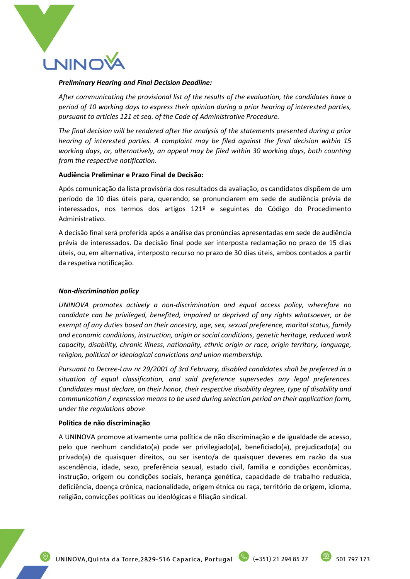

#### *Preliminary Hearing and Final Decision Deadline:*

*After communicating the provisional list of the results of the evaluation, the candidates have a period of 10 working days to express their opinion during a prior hearing of interested parties, pursuant to articles 121 et seq. of the Code of Administrative Procedure.*

*The final decision will be rendered after the analysis of the statements presented during a prior hearing of interested parties. A complaint may be filed against the final decision within 15 working days, or, alternatively, an appeal may be filed within 30 working days, both counting from the respective notification.*

#### **Audiência Preliminar e Prazo Final de Decisão:**

Após comunicação da lista provisória dos resultados da avaliação, os candidatos dispõem de um período de 10 dias úteis para, querendo, se pronunciarem em sede de audiência prévia de interessados, nos termos dos artigos 121º e seguintes do Código do Procedimento Administrativo.

A decisão final será proferida após a análise das pronúncias apresentadas em sede de audiência prévia de interessados. Da decisão final pode ser interposta reclamação no prazo de 15 dias úteis, ou, em alternativa, interposto recurso no prazo de 30 dias úteis, ambos contados a partir da respetiva notificação.

## *Non-discrimination policy*

*UNINOVA promotes actively a non-discrimination and equal access policy, wherefore no candidate can be privileged, benefited, impaired or deprived of any rights whatsoever, or be exempt of any duties based on their ancestry, age, sex, sexual preference, marital status, family and economic conditions, instruction, origin or social conditions, genetic heritage, reduced work capacity, disability, chronic illness, nationality, ethnic origin or race, origin territory, language, religion, political or ideological convictions and union membership.*

*Pursuant to Decree-Law nr 29/2001 of 3rd February, disabled candidates shall be preferred in a situation of equal classification, and said preference supersedes any legal preferences. Candidates must declare, on their honor, their respective disability degree, type of disability and communication / expression means to be used during selection period on their application form, under the regulations above*

#### **Política de não discriminação**

A UNINOVA promove ativamente uma política de não discriminação e de igualdade de acesso, pelo que nenhum candidato(a) pode ser privilegiado(a), beneficiado(a), prejudicado(a) ou privado(a) de quaisquer direitos, ou ser isento/a de quaisquer deveres em razão da sua ascendência, idade, sexo, preferência sexual, estado civil, família e condições econômicas, instrução, origem ou condições sociais, herança genética, capacidade de trabalho reduzida, deficiência, doença crônica, nacionalidade, origem étnica ou raça, território de origem, idioma, religião, convicções políticas ou ideológicas e filiação sindical.